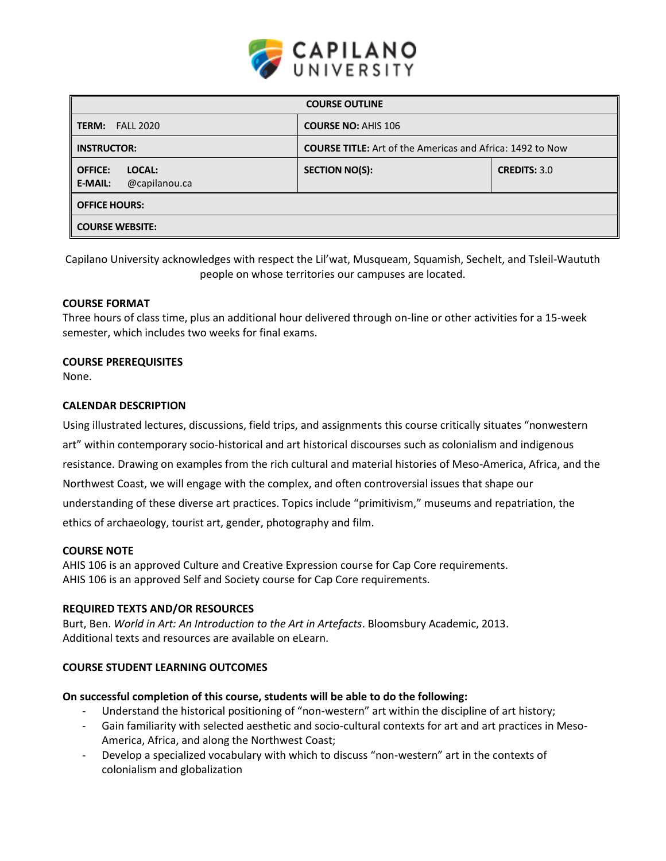

| <b>COURSE OUTLINE</b>                                       |                                                                  |                     |  |  |
|-------------------------------------------------------------|------------------------------------------------------------------|---------------------|--|--|
| <b>TERM: FALL 2020</b>                                      | <b>COURSE NO: AHIS 106</b>                                       |                     |  |  |
| <b>INSTRUCTOR:</b>                                          | <b>COURSE TITLE:</b> Art of the Americas and Africa: 1492 to Now |                     |  |  |
| <b>OFFICE:</b><br>LOCAL:<br>@capilanou.ca<br><b>E-MAIL:</b> | <b>SECTION NO(S):</b>                                            | <b>CREDITS: 3.0</b> |  |  |
| <b>OFFICE HOURS:</b>                                        |                                                                  |                     |  |  |
| <b>COURSE WEBSITE:</b>                                      |                                                                  |                     |  |  |

Capilano University acknowledges with respect the Lil'wat, Musqueam, Squamish, Sechelt, and Tsleil-Waututh people on whose territories our campuses are located.

### **COURSE FORMAT**

Three hours of class time, plus an additional hour delivered through on-line or other activities for a 15-week semester, which includes two weeks for final exams.

### **COURSE PREREQUISITES**

None.

### **CALENDAR DESCRIPTION**

Using illustrated lectures, discussions, field trips, and assignments this course critically situates "nonwestern art" within contemporary socio-historical and art historical discourses such as colonialism and indigenous resistance. Drawing on examples from the rich cultural and material histories of Meso-America, Africa, and the Northwest Coast, we will engage with the complex, and often controversial issues that shape our understanding of these diverse art practices. Topics include "primitivism," museums and repatriation, the ethics of archaeology, tourist art, gender, photography and film.

#### **COURSE NOTE**

AHIS 106 is an approved Culture and Creative Expression course for Cap Core requirements. AHIS 106 is an approved Self and Society course for Cap Core requirements.

# **REQUIRED TEXTS AND/OR RESOURCES**

Burt, Ben. *World in Art: An Introduction to the Art in Artefacts*. Bloomsbury Academic, 2013. Additional texts and resources are available on eLearn.

# **COURSE STUDENT LEARNING OUTCOMES**

#### **On successful completion of this course, students will be able to do the following:**

- Understand the historical positioning of "non-western" art within the discipline of art history;
- Gain familiarity with selected aesthetic and socio-cultural contexts for art and art practices in Meso-America, Africa, and along the Northwest Coast;
- Develop a specialized vocabulary with which to discuss "non-western" art in the contexts of colonialism and globalization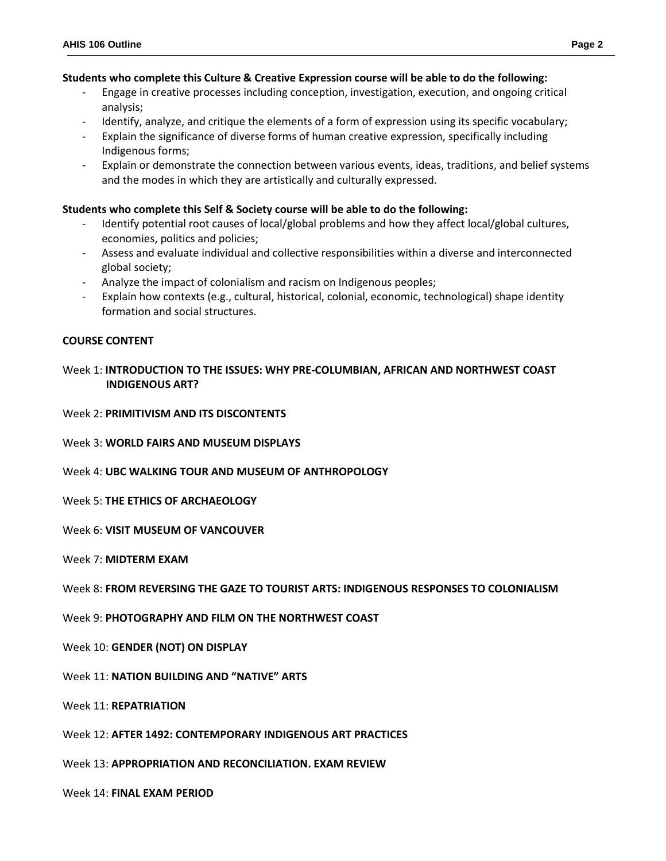#### **Students who complete this Culture & Creative Expression course will be able to do the following:**

- Engage in creative processes including conception, investigation, execution, and ongoing critical analysis;
- Identify, analyze, and critique the elements of a form of expression using its specific vocabulary;
- Explain the significance of diverse forms of human creative expression, specifically including Indigenous forms;
- Explain or demonstrate the connection between various events, ideas, traditions, and belief systems and the modes in which they are artistically and culturally expressed.

### **Students who complete this Self & Society course will be able to do the following:**

- Identify potential root causes of local/global problems and how they affect local/global cultures, economies, politics and policies;
- Assess and evaluate individual and collective responsibilities within a diverse and interconnected global society;
- Analyze the impact of colonialism and racism on Indigenous peoples;
- Explain how contexts (e.g., cultural, historical, colonial, economic, technological) shape identity formation and social structures.

# **COURSE CONTENT**

- Week 1: **INTRODUCTION TO THE ISSUES: WHY PRE-COLUMBIAN, AFRICAN AND NORTHWEST COAST INDIGENOUS ART?**
- Week 2: **PRIMITIVISM AND ITS DISCONTENTS**
- Week 3: **WORLD FAIRS AND MUSEUM DISPLAYS**
- Week 4: **UBC WALKING TOUR AND MUSEUM OF ANTHROPOLOGY**
- Week 5: **THE ETHICS OF ARCHAEOLOGY**
- Week 6: **VISIT MUSEUM OF VANCOUVER**
- Week 7: **MIDTERM EXAM**

Week 8: **FROM REVERSING THE GAZE TO TOURIST ARTS: INDIGENOUS RESPONSES TO COLONIALISM**

Week 9: **PHOTOGRAPHY AND FILM ON THE NORTHWEST COAST**

- Week 10: **GENDER (NOT) ON DISPLAY**
- Week 11: **NATION BUILDING AND "NATIVE" ARTS**
- Week 11: **REPATRIATION**
- Week 12: **AFTER 1492: CONTEMPORARY INDIGENOUS ART PRACTICES**
- Week 13: **APPROPRIATION AND RECONCILIATION. EXAM REVIEW**

Week 14: **FINAL EXAM PERIOD**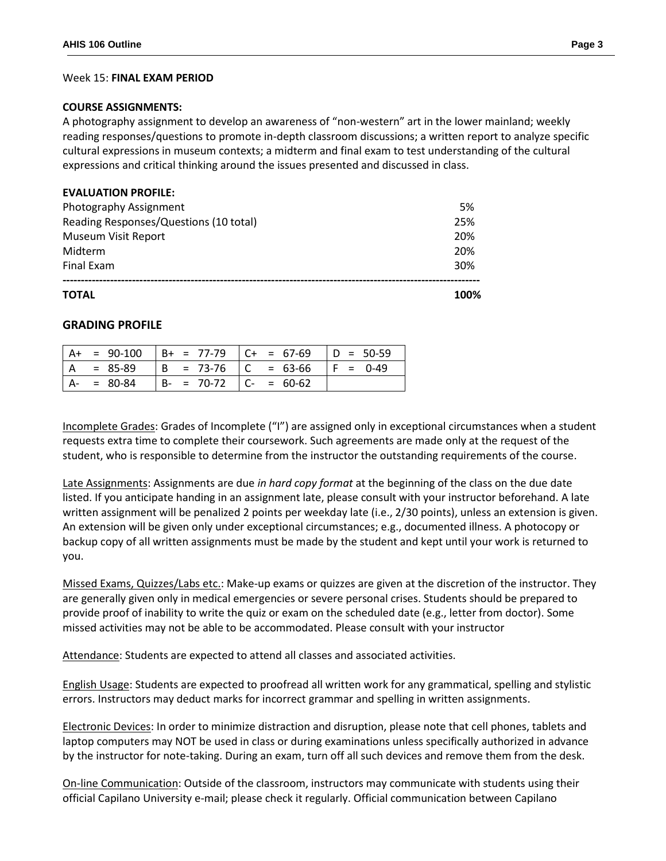#### Week 15: **FINAL EXAM PERIOD**

### **COURSE ASSIGNMENTS:**

A photography assignment to develop an awareness of "non-western" art in the lower mainland; weekly reading responses/questions to promote in-depth classroom discussions; a written report to analyze specific cultural expressions in museum contexts; a midterm and final exam to test understanding of the cultural expressions and critical thinking around the issues presented and discussed in class.

#### **EVALUATION PROFILE:**

| <b>TOTAL</b>                           | 100% |
|----------------------------------------|------|
| Final Exam                             | 30%  |
| Midterm                                | 20%  |
| Museum Visit Report                    | 20%  |
| Reading Responses/Questions (10 total) | 25%  |
| Photography Assignment                 | 5%   |

#### **GRADING PROFILE**

| $= 90-100$  | $B+ = 77-79$  | $ C+ = 67-69 $ | $  D = 50-59$ |
|-------------|---------------|----------------|---------------|
| = 85-89     | $  B = 73-76$ | $ C = 63-66$   | $F = 0-49$    |
| $= 80 - 84$ | $B - = 70-72$ | $C- = 60-62$   |               |

Incomplete Grades: Grades of Incomplete ("I") are assigned only in exceptional circumstances when a student requests extra time to complete their coursework. Such agreements are made only at the request of the student, who is responsible to determine from the instructor the outstanding requirements of the course.

Late Assignments: Assignments are due *in hard copy format* at the beginning of the class on the due date listed. If you anticipate handing in an assignment late, please consult with your instructor beforehand. A late written assignment will be penalized 2 points per weekday late (i.e., 2/30 points), unless an extension is given. An extension will be given only under exceptional circumstances; e.g., documented illness. A photocopy or backup copy of all written assignments must be made by the student and kept until your work is returned to you.

Missed Exams, Quizzes/Labs etc.: Make-up exams or quizzes are given at the discretion of the instructor. They are generally given only in medical emergencies or severe personal crises. Students should be prepared to provide proof of inability to write the quiz or exam on the scheduled date (e.g., letter from doctor). Some missed activities may not be able to be accommodated. Please consult with your instructor

Attendance: Students are expected to attend all classes and associated activities.

English Usage: Students are expected to proofread all written work for any grammatical, spelling and stylistic errors. Instructors may deduct marks for incorrect grammar and spelling in written assignments.

Electronic Devices: In order to minimize distraction and disruption, please note that cell phones, tablets and laptop computers may NOT be used in class or during examinations unless specifically authorized in advance by the instructor for note-taking. During an exam, turn off all such devices and remove them from the desk.

On-line Communication: Outside of the classroom, instructors may communicate with students using their official Capilano University e-mail; please check it regularly. Official communication between Capilano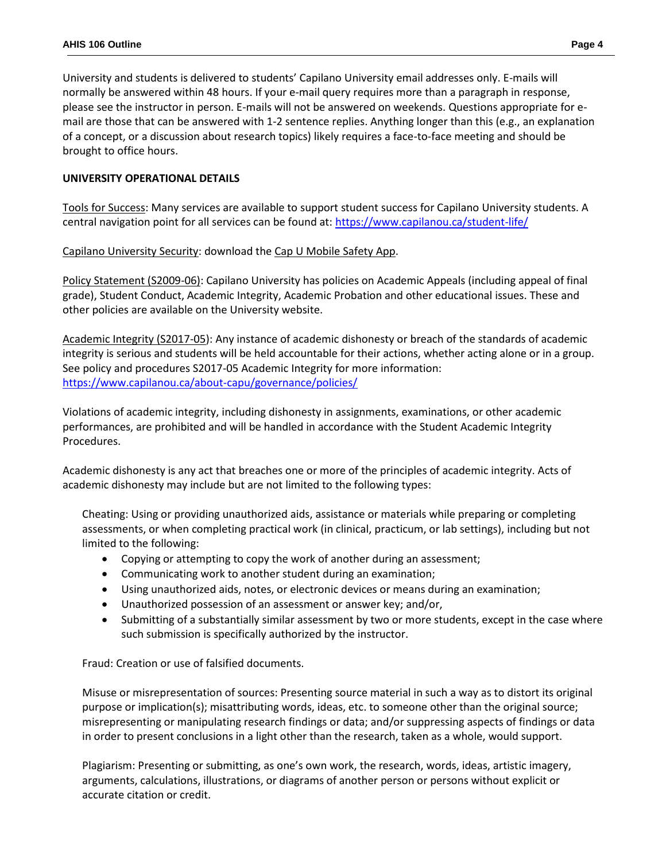University and students is delivered to students' Capilano University email addresses only. E-mails will normally be answered within 48 hours. If your e-mail query requires more than a paragraph in response, please see the instructor in person. E-mails will not be answered on weekends. Questions appropriate for email are those that can be answered with 1-2 sentence replies. Anything longer than this (e.g., an explanation of a concept, or a discussion about research topics) likely requires a face-to-face meeting and should be brought to office hours.

# **UNIVERSITY OPERATIONAL DETAILS**

Tools for Success: Many services are available to support student success for Capilano University students. A central navigation point for all services can be found at:<https://www.capilanou.ca/student-life/>

Capilano University Security: download the Cap U Mobile Safety App.

Policy Statement (S2009-06): Capilano University has policies on Academic Appeals (including appeal of final grade), Student Conduct, Academic Integrity, Academic Probation and other educational issues. These and other policies are available on the University website.

Academic Integrity (S2017-05): Any instance of academic dishonesty or breach of the standards of academic integrity is serious and students will be held accountable for their actions, whether acting alone or in a group. See policy and procedures S2017-05 Academic Integrity for more information: <https://www.capilanou.ca/about-capu/governance/policies/>

Violations of academic integrity, including dishonesty in assignments, examinations, or other academic performances, are prohibited and will be handled in accordance with the Student Academic Integrity Procedures.

Academic dishonesty is any act that breaches one or more of the principles of academic integrity. Acts of academic dishonesty may include but are not limited to the following types:

Cheating: Using or providing unauthorized aids, assistance or materials while preparing or completing assessments, or when completing practical work (in clinical, practicum, or lab settings), including but not limited to the following:

- Copying or attempting to copy the work of another during an assessment;
- Communicating work to another student during an examination;
- Using unauthorized aids, notes, or electronic devices or means during an examination;
- Unauthorized possession of an assessment or answer key; and/or,
- Submitting of a substantially similar assessment by two or more students, except in the case where such submission is specifically authorized by the instructor.

Fraud: Creation or use of falsified documents.

Misuse or misrepresentation of sources: Presenting source material in such a way as to distort its original purpose or implication(s); misattributing words, ideas, etc. to someone other than the original source; misrepresenting or manipulating research findings or data; and/or suppressing aspects of findings or data in order to present conclusions in a light other than the research, taken as a whole, would support.

Plagiarism: Presenting or submitting, as one's own work, the research, words, ideas, artistic imagery, arguments, calculations, illustrations, or diagrams of another person or persons without explicit or accurate citation or credit.